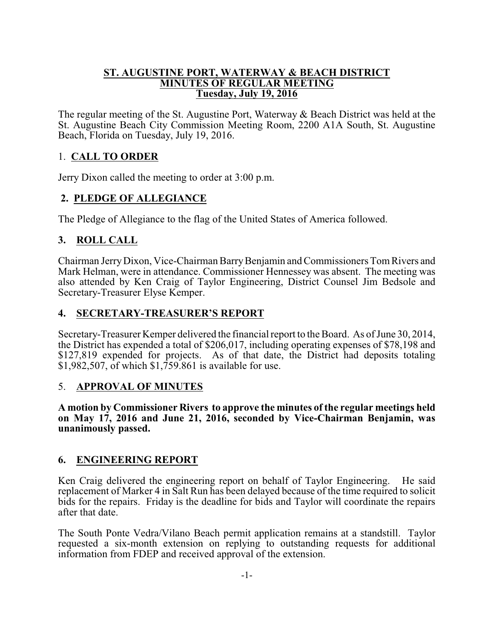#### **ST. AUGUSTINE PORT, WATERWAY & BEACH DISTRICT MINUTES OF REGULAR MEETING Tuesday, July 19, 2016**

The regular meeting of the St. Augustine Port, Waterway & Beach District was held at the St. Augustine Beach City Commission Meeting Room, 2200 A1A South, St. Augustine Beach, Florida on Tuesday, July 19, 2016.

# 1. **CALL TO ORDER**

Jerry Dixon called the meeting to order at 3:00 p.m.

# **2. PLEDGE OF ALLEGIANCE**

The Pledge of Allegiance to the flag of the United States of America followed.

# **3. ROLL CALL**

Chairman JerryDixon, Vice-Chairman BarryBenjamin and Commissioners TomRivers and Mark Helman, were in attendance. Commissioner Hennessey was absent. The meeting was also attended by Ken Craig of Taylor Engineering, District Counsel Jim Bedsole and Secretary-Treasurer Elyse Kemper.

## **4. SECRETARY-TREASURER'S REPORT**

Secretary-Treasurer Kemper delivered the financial report to the Board. As ofJune 30, 2014, the District has expended a total of \$206,017, including operating expenses of \$78,198 and \$127,819 expended for projects. As of that date, the District had deposits totaling \$1,982,507, of which \$1,759.861 is available for use.

## 5. **APPROVAL OF MINUTES**

**A motion by Commissioner Rivers to approve the minutes of the regular meetings held on May 17, 2016 and June 21, 2016, seconded by Vice-Chairman Benjamin, was unanimously passed.**

## **6. ENGINEERING REPORT**

Ken Craig delivered the engineering report on behalf of Taylor Engineering. He said replacement of Marker 4 in Salt Run has been delayed because of the time required to solicit bids for the repairs. Friday is the deadline for bids and Taylor will coordinate the repairs after that date.

The South Ponte Vedra/Vilano Beach permit application remains at a standstill. Taylor requested a six-month extension on replying to outstanding requests for additional information from FDEP and received approval of the extension.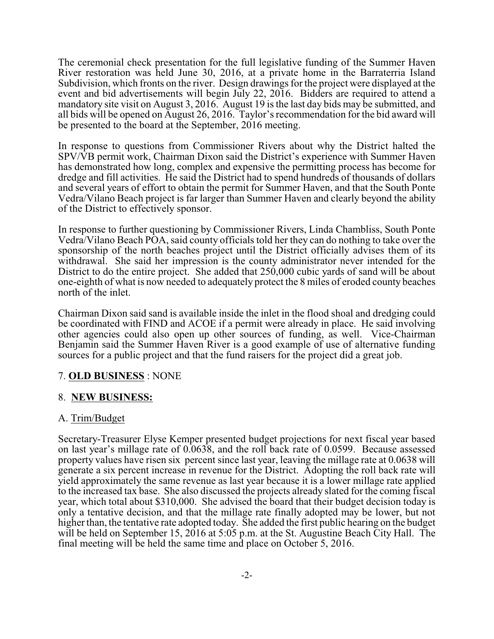The ceremonial check presentation for the full legislative funding of the Summer Haven River restoration was held June 30, 2016, at a private home in the Barraterria Island Subdivision, which fronts on the river. Design drawings for the project were displayed at the event and bid advertisements will begin July 22, 2016. Bidders are required to attend a mandatory site visit on August 3, 2016. August 19 is the last day bids may be submitted, and all bids will be opened on August 26, 2016. Taylor's recommendation for the bid award will be presented to the board at the September, 2016 meeting.

In response to questions from Commissioner Rivers about why the District halted the SPV/VB permit work, Chairman Dixon said the District's experience with Summer Haven has demonstrated how long, complex and expensive the permitting process has become for dredge and fill activities. He said the District had to spend hundreds of thousands of dollars and several years of effort to obtain the permit for Summer Haven, and that the South Ponte Vedra/Vilano Beach project is far larger than Summer Haven and clearly beyond the ability of the District to effectively sponsor.

In response to further questioning by Commissioner Rivers, Linda Chambliss, South Ponte Vedra/Vilano Beach POA, said county officials told her they can do nothing to take over the sponsorship of the north beaches project until the District officially advises them of its withdrawal. She said her impression is the county administrator never intended for the District to do the entire project. She added that 250,000 cubic yards of sand will be about one-eighth of what is now needed to adequately protect the 8 miles of eroded county beaches north of the inlet.

Chairman Dixon said sand is available inside the inlet in the flood shoal and dredging could be coordinated with FIND and ACOE if a permit were already in place. He said involving other agencies could also open up other sources of funding, as well. Vice-Chairman Benjamin said the Summer Haven River is a good example of use of alternative funding sources for a public project and that the fund raisers for the project did a great job.

## 7. **OLD BUSINESS** : NONE

## 8. **NEW BUSINESS:**

## A. Trim/Budget

Secretary-Treasurer Elyse Kemper presented budget projections for next fiscal year based on last year's millage rate of 0.0638, and the roll back rate of 0.0599. Because assessed property values have risen six percent since last year, leaving the millage rate at 0.0638 will generate a six percent increase in revenue for the District. Adopting the roll back rate will yield approximately the same revenue as last year because it is a lower millage rate applied to the increased tax base. She also discussed the projects already slated for the coming fiscal year, which total about \$310,000. She advised the board that their budget decision today is only a tentative decision, and that the millage rate finally adopted may be lower, but not higher than, the tentative rate adopted today. She added the first public hearing on the budget will be held on September 15, 2016 at 5:05 p.m. at the St. Augustine Beach City Hall. The final meeting will be held the same time and place on October 5, 2016.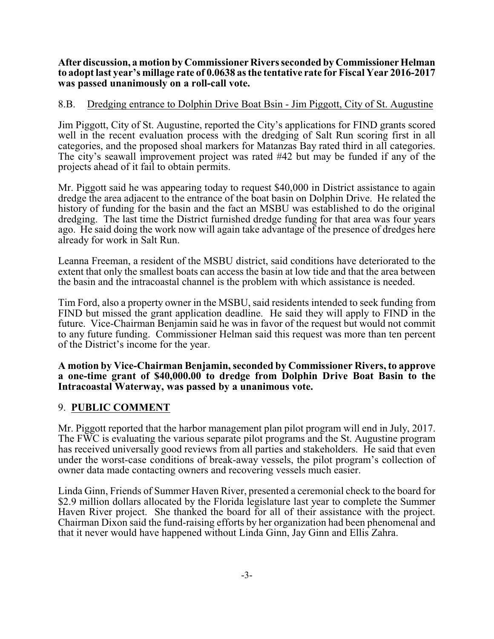After discussion, a motion by Commissioner Rivers seconded by Commissioner Helman **to adopt last year's millage rate of 0.0638 as the tentative rate for Fiscal Year 2016-2017 was passed unanimously on a roll-call vote.**

#### 8.B. Dredging entrance to Dolphin Drive Boat Bsin - Jim Piggott, City of St. Augustine

Jim Piggott, City of St. Augustine, reported the City's applications for FIND grants scored well in the recent evaluation process with the dredging of Salt Run scoring first in all categories, and the proposed shoal markers for Matanzas Bay rated third in all categories. The city's seawall improvement project was rated #42 but may be funded if any of the projects ahead of it fail to obtain permits.

Mr. Piggott said he was appearing today to request \$40,000 in District assistance to again dredge the area adjacent to the entrance of the boat basin on Dolphin Drive. He related the history of funding for the basin and the fact an MSBU was established to do the original dredging. The last time the District furnished dredge funding for that area was four years ago. He said doing the work now will again take advantage of the presence of dredges here already for work in Salt Run.

Leanna Freeman, a resident of the MSBU district, said conditions have deteriorated to the extent that only the smallest boats can access the basin at low tide and that the area between the basin and the intracoastal channel is the problem with which assistance is needed.

Tim Ford, also a property owner in the MSBU, said residents intended to seek funding from FIND but missed the grant application deadline. He said they will apply to FIND in the future. Vice-Chairman Benjamin said he was in favor of the request but would not commit to any future funding. Commissioner Helman said this request was more than ten percent of the District's income for the year.

#### **A motion by Vice-Chairman Benjamin, seconded by Commissioner Rivers, to approve a one-time grant of \$40,000.00 to dredge from Dolphin Drive Boat Basin to the Intracoastal Waterway, was passed by a unanimous vote.**

#### 9. **PUBLIC COMMENT**

Mr. Piggott reported that the harbor management plan pilot program will end in July, 2017. The FWC is evaluating the various separate pilot programs and the St. Augustine program has received universally good reviews from all parties and stakeholders. He said that even under the worst-case conditions of break-away vessels, the pilot program's collection of owner data made contacting owners and recovering vessels much easier.

Linda Ginn, Friends of Summer Haven River, presented a ceremonial check to the board for \$2.9 million dollars allocated by the Florida legislature last year to complete the Summer Haven River project. She thanked the board for all of their assistance with the project. Chairman Dixon said the fund-raising efforts by her organization had been phenomenal and that it never would have happened without Linda Ginn, Jay Ginn and Ellis Zahra.